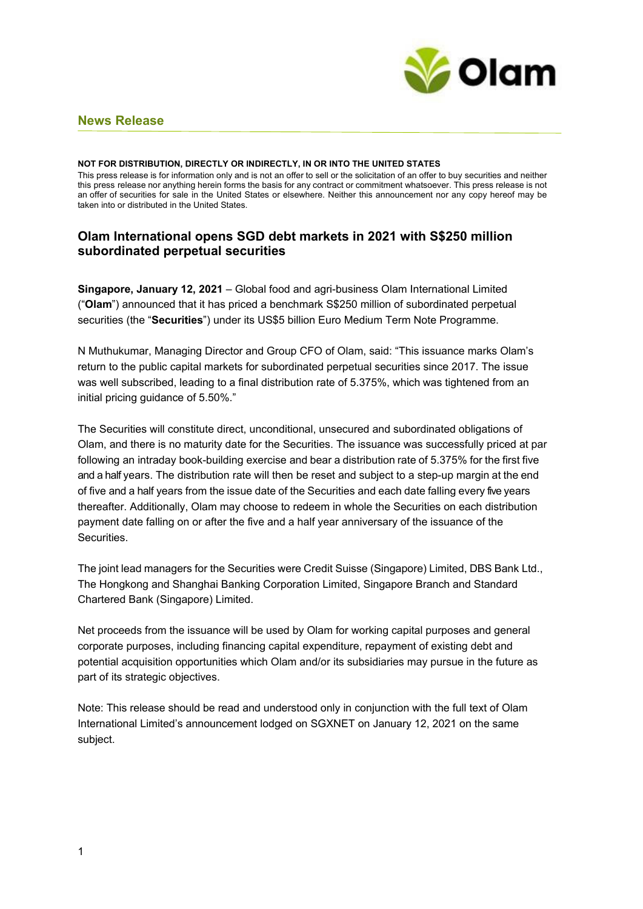

# **News Release**

#### **NOT FOR DISTRIBUTION, DIRECTLY OR INDIRECTLY, IN OR INTO THE UNITED STATES**

This press release is for information only and is not an offer to sell or the solicitation of an offer to buy securities and neither this press release nor anything herein forms the basis for any contract or commitment whatsoever. This press release is not an offer of securities for sale in the United States or elsewhere. Neither this announcement nor any copy hereof may be taken into or distributed in the United States.

# **Olam International opens SGD debt markets in 2021 with S\$250 million subordinated perpetual securities**

**Singapore, January 12, 2021** – Global food and agri-business Olam International Limited ("**Olam**") announced that it has priced a benchmark S\$250 million of subordinated perpetual securities (the "**Securities**") under its US\$5 billion Euro Medium Term Note Programme.

N Muthukumar, Managing Director and Group CFO of Olam, said: "This issuance marks Olam's return to the public capital markets for subordinated perpetual securities since 2017. The issue was well subscribed, leading to a final distribution rate of 5.375%, which was tightened from an initial pricing guidance of 5.50%."

The Securities will constitute direct, unconditional, unsecured and subordinated obligations of Olam, and there is no maturity date for the Securities. The issuance was successfully priced at par following an intraday book-building exercise and bear a distribution rate of 5.375% for the first five and a half years. The distribution rate will then be reset and subject to a step-up margin at the end of five and a half years from the issue date of the Securities and each date falling every five years thereafter. Additionally, Olam may choose to redeem in whole the Securities on each distribution payment date falling on or after the five and a half year anniversary of the issuance of the Securities.

The joint lead managers for the Securities were Credit Suisse (Singapore) Limited, DBS Bank Ltd., The Hongkong and Shanghai Banking Corporation Limited, Singapore Branch and Standard Chartered Bank (Singapore) Limited.

Net proceeds from the issuance will be used by Olam for working capital purposes and general corporate purposes, including financing capital expenditure, repayment of existing debt and potential acquisition opportunities which Olam and/or its subsidiaries may pursue in the future as part of its strategic objectives.

Note: This release should be read and understood only in conjunction with the full text of Olam International Limited's announcement lodged on SGXNET on January 12, 2021 on the same subject.